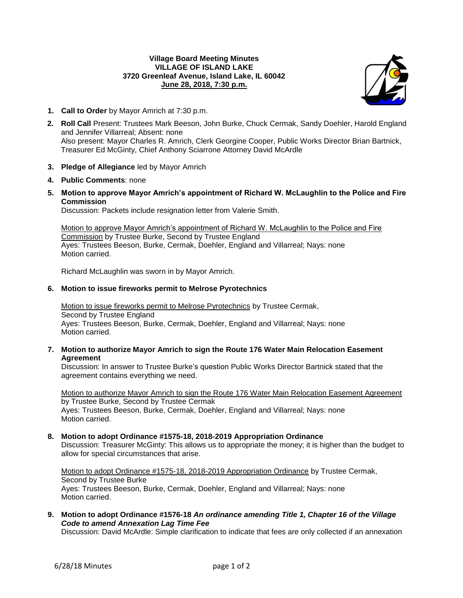## **Village Board Meeting Minutes VILLAGE OF ISLAND LAKE 3720 Greenleaf Avenue, Island Lake, IL 60042 June 28, 2018, 7:30 p.m.**



- **1. Call to Order** by Mayor Amrich at 7:30 p.m.
- **2. Roll Call** Present: Trustees Mark Beeson, John Burke, Chuck Cermak, Sandy Doehler, Harold England and Jennifer Villarreal; Absent: none Also present: Mayor Charles R. Amrich, Clerk Georgine Cooper, Public Works Director Brian Bartnick, Treasurer Ed McGinty, Chief Anthony Sciarrone Attorney David McArdle
- **3. Pledge of Allegiance** led by Mayor Amrich
- **4. Public Comments**: none
- **5. Motion to approve Mayor Amrich's appointment of Richard W. McLaughlin to the Police and Fire Commission**

Discussion: Packets include resignation letter from Valerie Smith.

Motion to approve Mayor Amrich's appointment of Richard W. McLaughlin to the Police and Fire Commission by Trustee Burke, Second by Trustee England Ayes: Trustees Beeson, Burke, Cermak, Doehler, England and Villarreal; Nays: none Motion carried.

Richard McLaughlin was sworn in by Mayor Amrich.

# **6. Motion to issue fireworks permit to Melrose Pyrotechnics**

Motion to issue fireworks permit to Melrose Pyrotechnics by Trustee Cermak, Second by Trustee England Ayes: Trustees Beeson, Burke, Cermak, Doehler, England and Villarreal; Nays: none Motion carried.

**7. Motion to authorize Mayor Amrich to sign the Route 176 Water Main Relocation Easement Agreement**

Discussion: In answer to Trustee Burke's question Public Works Director Bartnick stated that the agreement contains everything we need.

Motion to authorize Mayor Amrich to sign the Route 176 Water Main Relocation Easement Agreement by Trustee Burke, Second by Trustee Cermak Ayes: Trustees Beeson, Burke, Cermak, Doehler, England and Villarreal; Nays: none Motion carried.

## **8. Motion to adopt Ordinance #1575-18, 2018-2019 Appropriation Ordinance**

Discussion: Treasurer McGinty: This allows us to appropriate the money; it is higher than the budget to allow for special circumstances that arise.

Motion to adopt Ordinance #1575-18, 2018-2019 Appropriation Ordinance by Trustee Cermak, Second by Trustee Burke Ayes: Trustees Beeson, Burke, Cermak, Doehler, England and Villarreal; Nays: none Motion carried.

**9. Motion to adopt Ordinance #1576-18** *An ordinance amending Title 1, Chapter 16 of the Village Code to amend Annexation Lag Time Fee*

Discussion: David McArdle: Simple clarification to indicate that fees are only collected if an annexation